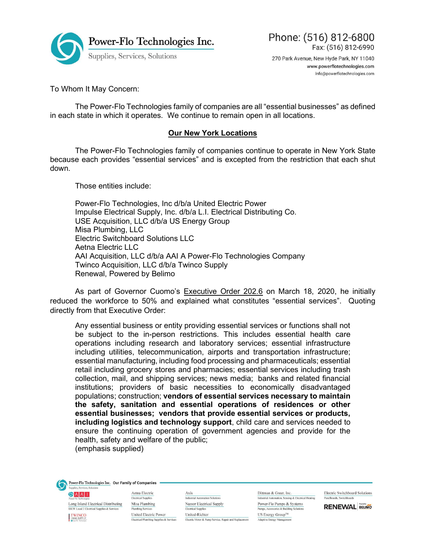

![](_page_0_Picture_1.jpeg)

270 Park Avenue, New Hyde Park, NY 11040 www.powerflotechnologies.com info@powerflotechnologies.com

To Whom It May Concern:

 The Power-Flo Technologies family of companies are all "essential businesses" as defined in each state in which it operates. We continue to remain open in all locations.

## Our New York Locations

 The Power-Flo Technologies family of companies continue to operate in New York State because each provides "essential services" and is excepted from the restriction that each shut down.

Those entities include:

 Power-Flo Technologies, Inc d/b/a United Electric Power Impulse Electrical Supply, Inc. d/b/a L.I. Electrical Distributing Co. USE Acquisition, LLC d/b/a US Energy Group Misa Plumbing, LLC Electric Switchboard Solutions LLC Aetna Electric LLC AAI Acquisition, LLC d/b/a AAI A Power-Flo Technologies Company Twinco Acquisition, LLC d/b/a Twinco Supply Renewal, Powered by Belimo

 As part of Governor Cuomo's Executive Order 202.6 on March 18, 2020, he initially reduced the workforce to 50% and explained what constitutes "essential services". Quoting directly from that Executive Order:

Any essential business or entity providing essential services or functions shall not be subject to the in-person restrictions. This includes essential health care operations including research and laboratory services; essential infrastructure including utilities, telecommunication, airports and transportation infrastructure; essential manufacturing, including food processing and pharmaceuticals; essential retail including grocery stores and pharmacies; essential services including trash collection, mail, and shipping services; news media; banks and related financial institutions; providers of basic necessities to economically disadvantaged populations; construction; vendors of essential services necessary to maintain the safety, sanitation and essential operations of residences or other essential businesses; vendors that provide essential services or products, including logistics and technology support, child care and services needed to ensure the continuing operation of government agencies and provide for the health, safety and welfare of the public; (emphasis supplied)

Power-Flo Technologies Inc. Our Family of Companies Supplies, Services, Solut

GAAI Long Island Electrical Distributing Misa Plumbing **IBEW Local 3 Electrical Supplies & Services** TWINCO

Aetna Electric **Electrical Supplies** Plumbing Services United Electric Power

Axis Industrial Automation Solutions Nassor Electrical Supply **Electrical Supplies** United-Richter Electrical/Plumbing Supplies & Services<br>Electric Motor & Pump Service, Repair and Replacement

Dittman & Greer, Inc. Industrial Automation, Sensing & Electrical Heating Industrial Automation, Sensing & Electrical<br>Power-Flo Pumps & Systems<br>Pumps, Accessories & Building Solutions Pumps, Accessories & Building Solutions  $\mathrm{US}$  Energy Group<br> $\mathrm{TM}$ Adaptive Energy Manage

**Electric Switchboard Solutions** Panelboards, Switchboard

**RENEWAL BELIMO**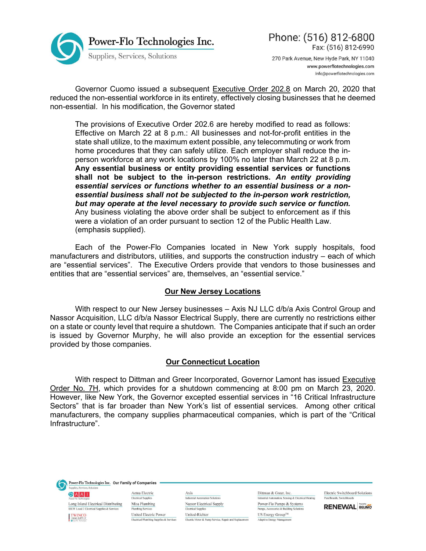![](_page_1_Picture_0.jpeg)

![](_page_1_Picture_1.jpeg)

270 Park Avenue, New Hyde Park, NY 11040 www.powerflotechnologies.com info@powerflotechnologies.com

 Governor Cuomo issued a subsequent Executive Order 202.8 on March 20, 2020 that reduced the non-essential workforce in its entirety, effectively closing businesses that he deemed non-essential. In his modification, the Governor stated

The provisions of Executive Order 202.6 are hereby modified to read as follows: Effective on March 22 at 8 p.m.: All businesses and not-for-profit entities in the state shall utilize, to the maximum extent possible, any telecommuting or work from home procedures that they can safely utilize. Each employer shall reduce the inperson workforce at any work locations by 100% no later than March 22 at 8 p.m. Any essential business or entity providing essential services or functions shall not be subject to the in-person restrictions. An entity providing essential services or functions whether to an essential business or a nonessential business shall not be subjected to the in-person work restriction, but may operate at the level necessary to provide such service or function. Any business violating the above order shall be subject to enforcement as if this were a violation of an order pursuant to section 12 of the Public Health Law. (emphasis supplied).

Each of the Power-Flo Companies located in New York supply hospitals, food manufacturers and distributors, utilities, and supports the construction industry – each of which are "essential services". The Executive Orders provide that vendors to those businesses and entities that are "essential services" are, themselves, an "essential service."

## Our New Jersey Locations

With respect to our New Jersey businesses – Axis NJ LLC d/b/a Axis Control Group and Nassor Acquisition, LLC d/b/a Nassor Electrical Supply, there are currently no restrictions either on a state or county level that require a shutdown. The Companies anticipate that if such an order is issued by Governor Murphy, he will also provide an exception for the essential services provided by those companies.

## Our Connecticut Location

With respect to Dittman and Greer Incorporated, Governor Lamont has issued Executive Order No. 7H, which provides for a shutdown commencing at 8:00 pm on March 23, 2020. However, like New York, the Governor excepted essential services in "16 Critical Infrastructure Sectors" that is far broader than New York's list of essential services. Among other critical manufacturers, the company supplies pharmaceutical companies, which is part of the "Critical Infrastructure".

Power-Flo Technologies Inc. Our Family of Companies Supplies, Services, Solut  $A A I$ 

 $\label{eq:long} \begin{tabular}{p{0.8cm}} \hline \textbf{Long Island Electrical Distribution} & \textbf{Miss Planning} \\ \hline \end{tabular}$ **IBEW Local 3 Electrical Supplies & Services** TWINCO

Aetna Electric **Electrical Supplies** Plumbing Services United Electric Power  $\overline{\text{Electrical/Plumbing}\text{ Supplies}\ \&\ \text{Services}}$ 

Axis Industrial Automation Solutions Nassor Electrical Supply **Electrical Supplies** United-Richter Electric Motor & Pump Service, Repair and Replacement

Dittman & Greer, Inc. Industrial Automation, Sensing & Electrical Heating Power-Flo Pumps & Systems Pumps, Accessories & Building Solutions  $\mathrm{US}$  Energy Group<br> $\mathrm{TM}$ Adaptive Energy Manage

**Electric Switchboard Solutions** Panelboards, Switchboard

**RENEWAL BELIMO**